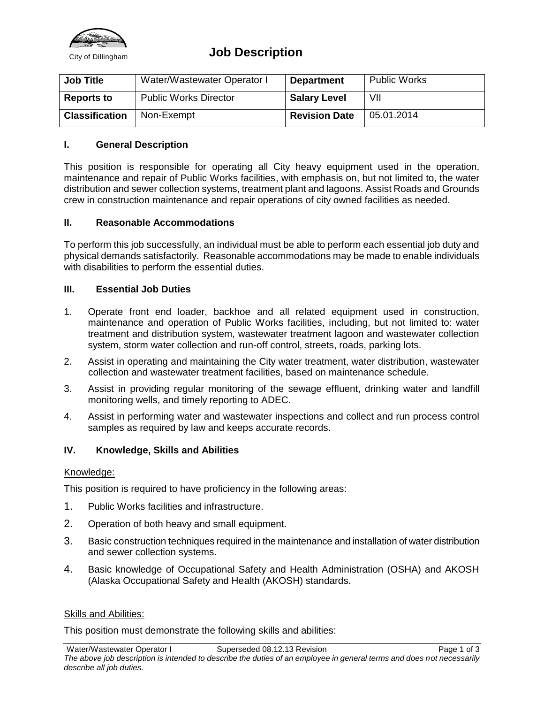

## City of Dillingham **Job Description**

| <b>Job Title</b>      | Water/Wastewater Operator I  | <b>Department</b>    | <b>Public Works</b> |
|-----------------------|------------------------------|----------------------|---------------------|
| <b>Reports to</b>     | <b>Public Works Director</b> | <b>Salary Level</b>  | VII                 |
| <b>Classification</b> | Non-Exempt                   | <b>Revision Date</b> | 05.01.2014          |

## **I. General Description**

This position is responsible for operating all City heavy equipment used in the operation, maintenance and repair of Public Works facilities, with emphasis on, but not limited to, the water distribution and sewer collection systems, treatment plant and lagoons. Assist Roads and Grounds crew in construction maintenance and repair operations of city owned facilities as needed.

## **II. Reasonable Accommodations**

To perform this job successfully, an individual must be able to perform each essential job duty and physical demands satisfactorily. Reasonable accommodations may be made to enable individuals with disabilities to perform the essential duties.

## **III. Essential Job Duties**

- 1. Operate front end loader, backhoe and all related equipment used in construction, maintenance and operation of Public Works facilities, including, but not limited to: water treatment and distribution system, wastewater treatment lagoon and wastewater collection system, storm water collection and run-off control, streets, roads, parking lots.
- 2. Assist in operating and maintaining the City water treatment, water distribution, wastewater collection and wastewater treatment facilities, based on maintenance schedule.
- 3. Assist in providing regular monitoring of the sewage effluent, drinking water and landfill monitoring wells, and timely reporting to ADEC.
- 4. Assist in performing water and wastewater inspections and collect and run process control samples as required by law and keeps accurate records.

## **IV. Knowledge, Skills and Abilities**

## Knowledge:

This position is required to have proficiency in the following areas:

- 1. Public Works facilities and infrastructure.
- 2. Operation of both heavy and small equipment.
- 3. Basic construction techniques required in the maintenance and installation of water distribution and sewer collection systems.
- 4. Basic knowledge of Occupational Safety and Health Administration (OSHA) and AKOSH (Alaska Occupational Safety and Health (AKOSH) standards.

## Skills and Abilities:

This position must demonstrate the following skills and abilities: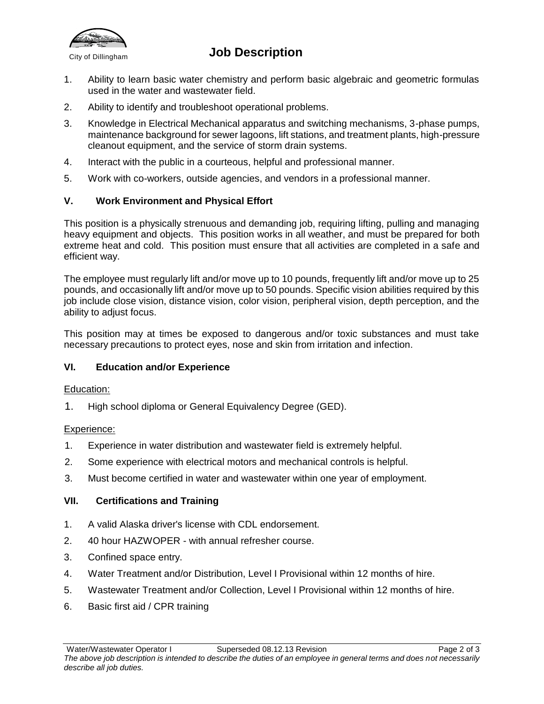

# **City of Dillingham Job Description**

- 1. Ability to learn basic water chemistry and perform basic algebraic and geometric formulas used in the water and wastewater field.
- 2. Ability to identify and troubleshoot operational problems.
- 3. Knowledge in Electrical Mechanical apparatus and switching mechanisms, 3-phase pumps, maintenance background for sewer lagoons, lift stations, and treatment plants, high-pressure cleanout equipment, and the service of storm drain systems.
- 4. Interact with the public in a courteous, helpful and professional manner.
- 5. Work with co-workers, outside agencies, and vendors in a professional manner.

## **V. Work Environment and Physical Effort**

This position is a physically strenuous and demanding job, requiring lifting, pulling and managing heavy equipment and objects. This position works in all weather, and must be prepared for both extreme heat and cold. This position must ensure that all activities are completed in a safe and efficient way.

The employee must regularly lift and/or move up to 10 pounds, frequently lift and/or move up to 25 pounds, and occasionally lift and/or move up to 50 pounds. Specific vision abilities required by this job include close vision, distance vision, color vision, peripheral vision, depth perception, and the ability to adjust focus.

This position may at times be exposed to dangerous and/or toxic substances and must take necessary precautions to protect eyes, nose and skin from irritation and infection.

## **VI. Education and/or Experience**

## Education:

1. High school diploma or General Equivalency Degree (GED).

## Experience:

- 1. Experience in water distribution and wastewater field is extremely helpful.
- 2. Some experience with electrical motors and mechanical controls is helpful.
- 3. Must become certified in water and wastewater within one year of employment.

## **VII. Certifications and Training**

- 1. A valid Alaska driver's license with CDL endorsement.
- 2. 40 hour HAZWOPER with annual refresher course.
- 3. Confined space entry.
- 4. Water Treatment and/or Distribution, Level I Provisional within 12 months of hire.
- 5. Wastewater Treatment and/or Collection, Level I Provisional within 12 months of hire.
- 6. Basic first aid / CPR training